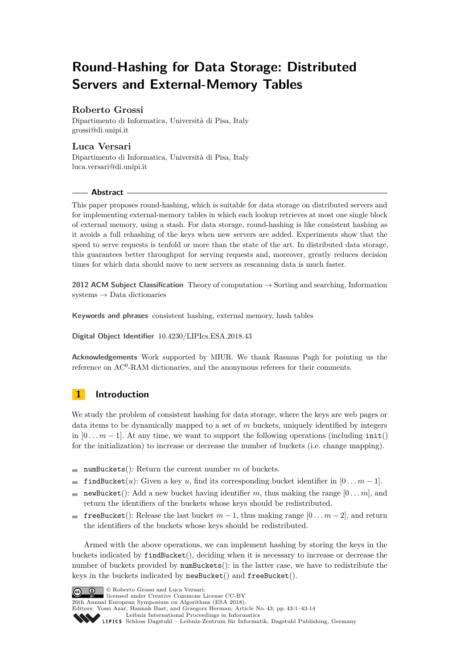# **Round-Hashing for Data Storage: Distributed Servers and External-Memory Tables**

### **Roberto Grossi**

Dipartimento di Informatica, Università di Pisa, Italy [grossi@di.unipi.it](mailto:grossi@di.unipi.it)

### **Luca Versari**

Dipartimento di Informatica, Università di Pisa, Italy [luca.versari@di.unipi.it](mailto:luca.versari@di.unipi.it)

### **Abstract**

This paper proposes round-hashing, which is suitable for data storage on distributed servers and for implementing external-memory tables in which each lookup retrieves at most one single block of external memory, using a stash. For data storage, round-hashing is like consistent hashing as it avoids a full rehashing of the keys when new servers are added. Experiments show that the speed to serve requests is tenfold or more than the state of the art. In distributed data storage, this guarantees better throughput for serving requests and, moreover, greatly reduces decision times for which data should move to new servers as rescanning data is much faster.

**2012 ACM Subject Classification** Theory of computation → Sorting and searching, Information systems → Data dictionaries

**Keywords and phrases** consistent hashing, external memory, hash tables

**Digital Object Identifier** [10.4230/LIPIcs.ESA.2018.43](http://dx.doi.org/10.4230/LIPIcs.ESA.2018.43)

**Acknowledgements** Work supported by MIUR. We thank Rasmus Pagh for pointing us the reference on AC<sup>0</sup>-RAM dictionaries, and the anonymous referees for their comments.

## **1 Introduction**

We study the problem of consistent hashing for data storage, where the keys are web pages or data items to be dynamically mapped to a set of *m* buckets, uniquely identified by integers in  $[0 \ldots m-1]$ . At any time, we want to support the following operations (including  $\text{init}()$ ) for the initialization) to increase or decrease the number of buckets (i.e. change mapping).

- numBuckets(): Return the current number  $m$  of buckets.
- findBucket(*u*): Given a key *u*, find its corresponding bucket identifier in  $[0 \dots m-1]$ .  $\blacksquare$
- newBucket(): Add a new bucket having identifier m, thus making the range  $[0 \dots m]$ , and  $\rightarrow$ return the identifiers of the buckets whose keys should be redistributed.
- **■** freeBucket(): Release the last bucket  $m-1$ , thus making range  $[0...m-2]$ , and return the identifiers of the buckets whose keys should be redistributed.

Armed with the above operations, we can implement hashing by storing the keys in the buckets indicated by findBucket(), deciding when it is necessary to increase or decrease the number of buckets provided by numBuckets(): in the latter case, we have to redistribute the keys in the buckets indicated by newBucket() and freeBucket().

**C D C** Roberto Grossi and Luca Versari: licensed under Creative Commons License CC-BY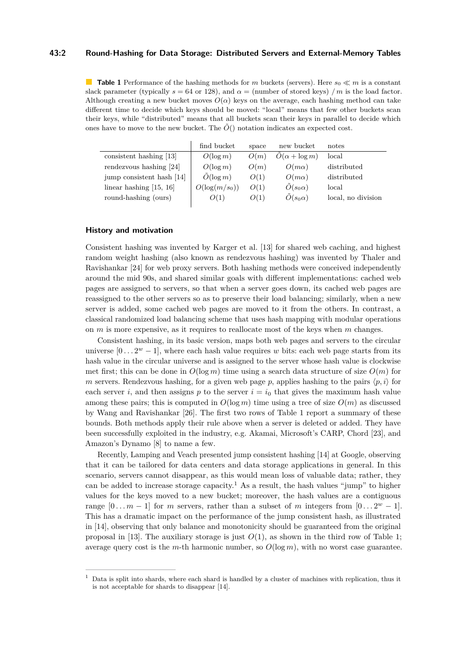#### **43:2 Round-Hashing for Data Storage: Distributed Servers and External-Memory Tables**

<span id="page-1-0"></span>**Table 1** Performance of the hashing methods for *m* buckets (servers). Here  $s_0 \ll m$  is a constant slack parameter (typically  $s = 64$  or 128), and  $\alpha =$  (number of stored keys) */m* is the load factor. Although creating a new bucket moves  $O(\alpha)$  keys on the average, each hashing method can take different time to decide which keys should be moved: "local" means that few other buckets scan their keys, while "distributed" means that all buckets scan their keys in parallel to decide which ones have to move to the new bucket. The  $\tilde{O}$ <sup>()</sup> notation indicates an expected cost.

|                           | find bucket      | space | new bucket             | notes              |
|---------------------------|------------------|-------|------------------------|--------------------|
| consistent hashing [13]   | $O(\log m)$      | O(m)  | $O(\alpha + \log m)$   | local              |
| rendezvous hashing $[24]$ | $O(\log m)$      | O(m)  | $O(m\alpha)$           | distributed        |
| jump consistent hash [14] | $O(\log m)$      | O(1)  | $O(m\alpha)$           | distributed        |
| linear hashing $[15, 16]$ | $O(\log(m/s_0))$ | O(1)  | $\tilde{O}(s_0\alpha)$ | local              |
| round-hashing (ours)      | O(1)             | O(1)  | $\tilde{O}(s_0\alpha)$ | local, no division |

### **History and motivation**

Consistent hashing was invented by Karger et al. [\[13\]](#page-12-0) for shared web caching, and highest random weight hashing (also known as rendezvous hashing) was invented by Thaler and Ravishankar [\[24\]](#page-13-1) for web proxy servers. Both hashing methods were conceived independently around the mid 90s, and shared similar goals with different implementations: cached web pages are assigned to servers, so that when a server goes down, its cached web pages are reassigned to the other servers so as to preserve their load balancing; similarly, when a new server is added, some cached web pages are moved to it from the others. In contrast, a classical randomized load balancing scheme that uses hash mapping with modular operations on *m* is more expensive, as it requires to reallocate most of the keys when *m* changes.

Consistent hashing, in its basic version, maps both web pages and servers to the circular universe  $[0 \dots 2^w - 1]$ , where each hash value requires *w* bits: each web page starts from its hash value in the circular universe and is assigned to the server whose hash value is clockwise met first; this can be done in  $O(\log m)$  time using a search data structure of size  $O(m)$  for *m* servers. Rendezvous hashing, for a given web page *p*, applies hashing to the pairs  $\langle p, i \rangle$  for each server *i*, and then assigns *p* to the server  $i = i_0$  that gives the maximum hash value among these pairs; this is computed in  $O(\log m)$  time using a tree of size  $O(m)$  as discussed by Wang and Ravishankar [\[26\]](#page-13-2). The first two rows of Table [1](#page-1-0) report a summary of these bounds. Both methods apply their rule above when a server is deleted or added. They have been successfully exploited in the industry, e.g. Akamai, Microsoft's CARP, Chord [\[23\]](#page-13-3), and Amazon's Dynamo [\[8\]](#page-12-4) to name a few.

Recently, Lamping and Veach presented jump consistent hashing [\[14\]](#page-12-1) at Google, observing that it can be tailored for data centers and data storage applications in general. In this scenario, servers cannot disappear, as this would mean loss of valuable data; rather, they can be added to increase storage capacity.<sup>[1](#page-1-1)</sup> As a result, the hash values "jump" to higher values for the keys moved to a new bucket; moreover, the hash values are a contiguous range  $[0...m-1]$  for *m* servers, rather than a subset of *m* integers from  $[0...2^w-1]$ . This has a dramatic impact on the performance of the jump consistent hash, as illustrated in [\[14\]](#page-12-1), observing that only balance and monotonicity should be guaranteed from the original proposal in [\[13\]](#page-12-0). The auxiliary storage is just  $O(1)$ , as shown in the third row of Table [1;](#page-1-0) average query cost is the *m*-th harmonic number, so  $O(\log m)$ , with no worst case guarantee.

<span id="page-1-1"></span><sup>1</sup> Data is split into shards, where each shard is handled by a cluster of machines with replication, thus it is not acceptable for shards to disappear [\[14\]](#page-12-1).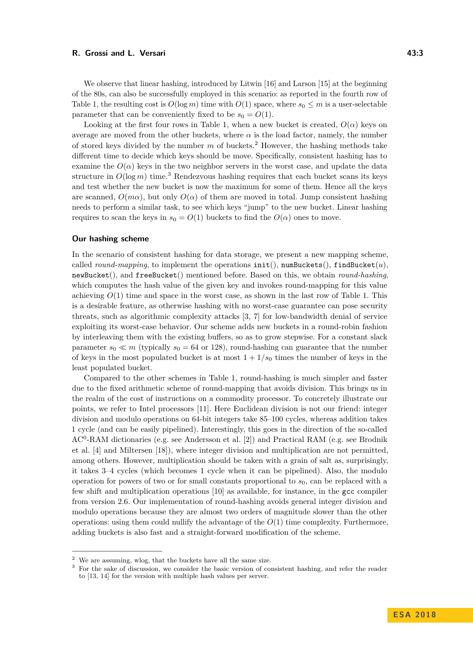We observe that linear hashing, introduced by Litwin [\[16\]](#page-12-3) and Larson [\[15\]](#page-12-2) at the beginning of the 80s, can also be successfully employed in this scenario: as reported in the fourth row of Table [1,](#page-1-0) the resulting cost is  $O(\log m)$  time with  $O(1)$  space, where  $s_0 \leq m$  is a user-selectable parameter that can be conveniently fixed to be  $s_0 = O(1)$ .

Looking at the first four rows in Table [1,](#page-1-0) when a new bucket is created,  $O(\alpha)$  keys on average are moved from the other buckets, where  $\alpha$  is the load factor, namely, the number of stored keys divided by the number *m* of buckets.[2](#page-2-0) However, the hashing methods take different time to decide which keys should be move. Specifically, consistent hashing has to examine the  $O(\alpha)$  keys in the two neighbor servers in the worst case, and update the data structure in  $O(\log m)$  time.<sup>[3](#page-2-1)</sup> Rendezvous hashing requires that each bucket scans its keys and test whether the new bucket is now the maximum for some of them. Hence all the keys are scanned,  $O(m\alpha)$ , but only  $O(\alpha)$  of them are moved in total. Jump consistent hashing needs to perform a similar task, to see which keys "jump" to the new bucket. Linear hashing requires to scan the keys in  $s_0 = O(1)$  buckets to find the  $O(\alpha)$  ones to move.

### **Our hashing scheme**

In the scenario of consistent hashing for data storage, we present a new mapping scheme, called *round-mapping*, to implement the operations  $init()$ ,  $numBuckets()$ ,  $findBucker(u)$ , newBucket(), and freeBucket() mentioned before. Based on this, we obtain *round-hashing*, which computes the hash value of the given key and invokes round-mapping for this value achieving  $O(1)$  time and space in the worst case, as shown in the last row of Table [1.](#page-1-0) This is a desirable feature, as otherwise hashing with no worst-case guarantee can pose security threats, such as algorithmic complexity attacks [\[3,](#page-12-5) [7\]](#page-12-6) for low-bandwidth denial of service exploiting its worst-case behavior. Our scheme adds new buckets in a round-robin fashion by interleaving them with the existing buffers, so as to grow stepwise. For a constant slack parameter  $s_0 \ll m$  (typically  $s_0 = 64$  or 128), round-hashing can guarantee that the number of keys in the most populated bucket is at most  $1 + 1/s_0$  times the number of keys in the least populated bucket.

Compared to the other schemes in Table [1,](#page-1-0) round-hashing is much simpler and faster due to the fixed arithmetic scheme of round-mapping that avoids division. This brings us in the realm of the cost of instructions on a commodity processor. To concretely illustrate our points, we refer to Intel processors [\[11\]](#page-12-7). Here Euclidean division is not our friend: integer division and modulo operations on 64-bit integers take 85–100 cycles, whereas addition takes 1 cycle (and can be easily pipelined). Interestingly, this goes in the direction of the so-called AC<sup>0</sup>-RAM dictionaries (e.g. see Andersson et al. [\[2\]](#page-12-8)) and Practical RAM (e.g. see Brodnik et al. [\[4\]](#page-12-9) and Miltersen [\[18\]](#page-13-4)), where integer division and multiplication are not permitted, among others. However, multiplication should be taken with a grain of salt as, surprisingly, it takes 3–4 cycles (which becomes 1 cycle when it can be pipelined). Also, the modulo operation for powers of two or for small constants proportional to  $s<sub>0</sub>$ , can be replaced with a few shift and multiplication operations [\[10\]](#page-12-10) as available, for instance, in the gcc compiler from version 2.6. Our implementation of round-hashing avoids general integer division and modulo operations because they are almost two orders of magnitude slower than the other operations: using them could nullify the advantage of the  $O(1)$  time complexity. Furthermore, adding buckets is also fast and a straight-forward modification of the scheme.

<span id="page-2-0"></span> $^{\rm 2}$  We are assuming, wlog, that the buckets have all the same size.

<span id="page-2-1"></span><sup>3</sup> For the sake of discussion, we consider the basic version of consistent hashing, and refer the reader to [\[13,](#page-12-0) [14\]](#page-12-1) for the version with multiple hash values per server.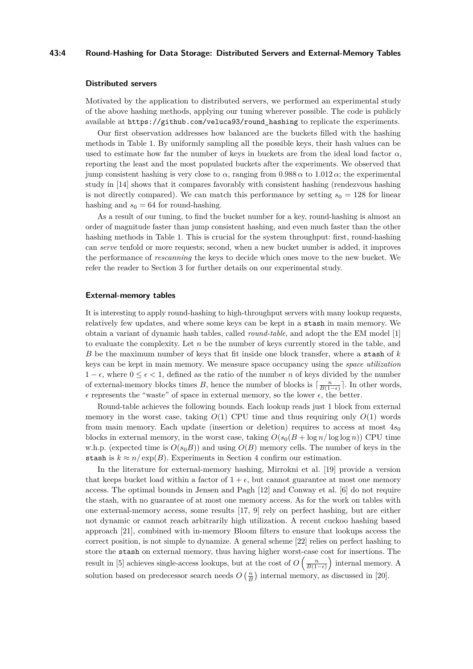#### **43:4 Round-Hashing for Data Storage: Distributed Servers and External-Memory Tables**

### **Distributed servers**

Motivated by the application to distributed servers, we performed an experimental study of the above hashing methods, applying our tuning wherever possible. The code is publicly available at [https://github.com/veluca93/round\\_hashing](https://github.com/veluca93/round_hashing) to replicate the experiments.

Our first observation addresses how balanced are the buckets filled with the hashing methods in Table [1.](#page-1-0) By uniformly sampling all the possible keys, their hash values can be used to estimate how far the number of keys in buckets are from the ideal load factor  $\alpha$ , reporting the least and the most populated buckets after the experiments. We observed that jump consistent hashing is very close to  $\alpha$ , ranging from 0.988  $\alpha$  to 1.012  $\alpha$ ; the experimental study in [\[14\]](#page-12-1) shows that it compares favorably with consistent hashing (rendezvous hashing is not directly compared). We can match this performance by setting  $s_0 = 128$  for linear hashing and  $s_0 = 64$  for round-hashing.

As a result of our tuning, to find the bucket number for a key, round-hashing is almost an order of magnitude faster than jump consistent hashing, and even much faster than the other hashing methods in Table [1.](#page-1-0) This is crucial for the system throughput: first, round-hashing can *serve* tenfold or more requests; second, when a new bucket number is added, it improves the performance of *rescanning* the keys to decide which ones move to the new bucket. We refer the reader to Section [3](#page-8-0) for further details on our experimental study.

#### **External-memory tables**

It is interesting to apply round-hashing to high-throughput servers with many lookup requests, relatively few updates, and where some keys can be kept in a stash in main memory. We obtain a variant of dynamic hash tables, called *round-table*, and adopt the the EM model [\[1\]](#page-12-11) to evaluate the complexity. Let *n* be the number of keys currently stored in the table, and *B* be the maximum number of keys that fit inside one block transfer, where a stash of *k* keys can be kept in main memory. We measure space occupancy using the *space utilization* 1 −  $\epsilon$ , where  $0 \leq \epsilon < 1$ , defined as the ratio of the number *n* of keys divided by the number of external-memory blocks times *B*, hence the number of blocks is  $\lceil \frac{n}{B(1-\epsilon)} \rceil$ . In other words,  $\epsilon$  represents the "waste" of space in external memory, so the lower  $\epsilon,$  the better.

Round-table achieves the following bounds. Each lookup reads just 1 block from external memory in the worst case, taking  $O(1)$  CPU time and thus requiring only  $O(1)$  words from main memory. Each update (insertion or deletion) requires to access at most  $4s<sub>0</sub>$ blocks in external memory, in the worst case, taking  $O(s_0(B + \log n/\log \log n))$  CPU time w.h.p. (expected time is  $O(s_0B)$ ) and using  $O(B)$  memory cells. The number of keys in the stash is  $k \approx n / \exp(B)$ . Experiments in Section [4](#page-9-0) confirm our estimation.

In the literature for external-memory hashing, Mirrokni et al. [\[19\]](#page-13-5) provide a version that keeps bucket load within a factor of  $1 + \epsilon$ , but cannot guarantee at most one memory access. The optimal bounds in Jensen and Pagh [\[12\]](#page-12-12) and Conway et al. [\[6\]](#page-12-13) do not require the stash, with no guarantee of at most one memory access. As for the work on tables with one external-memory access, some results [\[17,](#page-12-14) [9\]](#page-12-15) rely on perfect hashing, but are either not dynamic or cannot reach arbitrarily high utilization. A recent cuckoo hashing based approach [\[21\]](#page-13-6), combined with in-memory Bloom filters to ensure that lookups access the correct position, is not simple to dynamize. A general scheme [\[22\]](#page-13-7) relies on perfect hashing to store the stash on external memory, thus having higher worst-case cost for insertions. The result in [\[5\]](#page-12-16) achieves single-access lookups, but at the cost of  $O\left(\frac{n}{B(1-\epsilon)}\right)$  internal memory. A solution based on predecessor search needs  $O\left(\frac{n}{B}\right)$  internal memory, as discussed in [\[20\]](#page-13-8).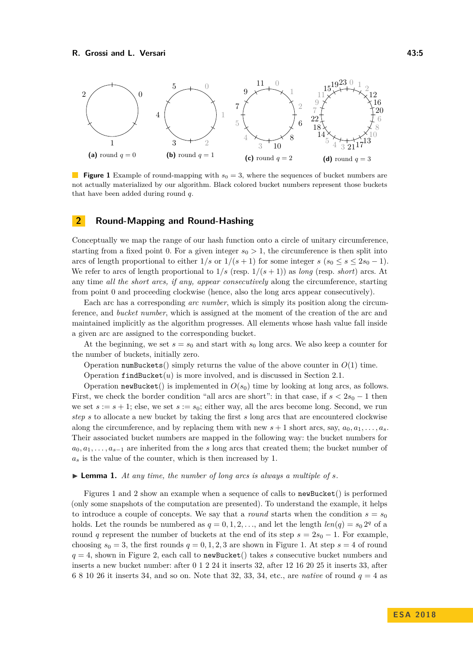<span id="page-4-0"></span>

**Figure 1** Example of round-mapping with  $s_0 = 3$ , where the sequences of bucket numbers are not actually materialized by our algorithm. Black colored bucket numbers represent those buckets that have been added during round *q*.

### **2 Round-Mapping and Round-Hashing**

Conceptually we map the range of our hash function onto a circle of unitary circumference, starting from a fixed point 0. For a given integer  $s_0 > 1$ , the circumference is then split into arcs of length proportional to either  $1/s$  or  $1/(s+1)$  for some integer  $s$  ( $s_0 \leq s \leq 2s_0 - 1$ ). We refer to arcs of length proportional to  $1/s$  (resp.  $1/(s+1)$ ) as *long* (resp. *short*) arcs. At any time *all the short arcs, if any, appear consecutively* along the circumference, starting from point 0 and proceeding clockwise (hence, also the long arcs appear consecutively).

Each arc has a corresponding *arc number*, which is simply its position along the circumference, and *bucket number*, which is assigned at the moment of the creation of the arc and maintained implicitly as the algorithm progresses. All elements whose hash value fall inside a given arc are assigned to the corresponding bucket.

At the beginning, we set  $s = s_0$  and start with  $s_0$  long arcs. We also keep a counter for the number of buckets, initially zero.

Operation numBuckets() simply returns the value of the above counter in  $O(1)$  time.

Operation  $findBucket(u)$  is more involved, and is discussed in Section [2.1.](#page-5-0)

Operation newBucket() is implemented in  $O(s_0)$  time by looking at long arcs, as follows. First, we check the border condition "all arcs are short": in that case, if  $s < 2s_0 - 1$  then we set  $s := s + 1$ ; else, we set  $s := s_0$ ; either way, all the arcs become long. Second, we run *step s* to allocate a new bucket by taking the first *s* long arcs that are encountered clockwise along the circumference, and by replacing them with new  $s + 1$  short arcs, say,  $a_0, a_1, \ldots, a_s$ . Their associated bucket numbers are mapped in the following way: the bucket numbers for  $a_0, a_1, \ldots, a_{s-1}$  are inherited from the *s* long arcs that created them; the bucket number of  $a_s$  is the value of the counter, which is then increased by 1.

### $\blacktriangleright$  **Lemma 1.** At any time, the number of long arcs is always a multiple of *s*.

Figures [1](#page-4-0) and [2](#page-5-1) show an example when a sequence of calls to newBucket() is performed (only some snapshots of the computation are presented). To understand the example, it helps to introduce a couple of concepts. We say that a *round* starts when the condition  $s = s_0$ holds. Let the rounds be numbered as  $q = 0, 1, 2, \ldots$ , and let the length  $len(q) = s_0 2^q$  of a round *q* represent the number of buckets at the end of its step  $s = 2s_0 - 1$ . For example, choosing  $s_0 = 3$ , the first rounds  $q = 0, 1, 2, 3$  are shown in Figure [1.](#page-4-0) At step  $s = 4$  of round  $q = 4$ , shown in Figure [2,](#page-5-1) each call to new Bucket() takes *s* consecutive bucket numbers and inserts a new bucket number: after 0 1 2 24 it inserts 32, after 12 16 20 25 it inserts 33, after 6 8 10 26 it inserts 34, and so on. Note that 32, 33, 34, etc., are *native* of round *q* = 4 as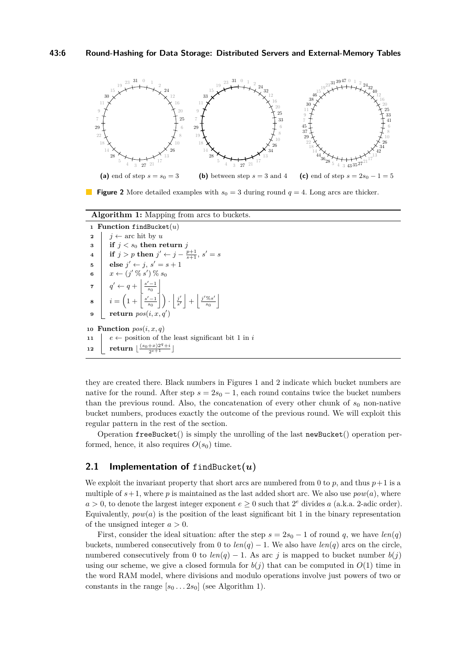<span id="page-5-1"></span>

**Figure 2** More detailed examples with  $s_0 = 3$  during round  $q = 4$ . Long arcs are thicker.

**Algorithm 1:** Mapping from arcs to buckets.

```
1 Function findBucket(u)
  2 j \leftarrow \text{arc hit by } u3 if j < s_0 then return j
  \textbf{4} \quad | \quad \textbf{if} \; j > p \; \textbf{then} \; j' \leftarrow j - \frac{p+1}{s+1}, \, s' = s5 \vert else j' \leftarrow j, s' = s + 16 x \leftarrow (j' \mathbin{\%} s') \mathbin{\%} s_0\mathbf{z} \mid q' \leftarrow q +s
                                    -1s0
                                           \overline{\phantom{a}}\mathbf{s} \quad \begin{array}{|c|c|c|c|c|} \hline \mathbf{s} & i=\left(1+\left|\frac{s'-1}{s_0}\right|\right)\cdot\left|\frac{j'}{s'}\right|+\left|\frac{j' \%_{s'} }{s_0}\right| \hline \end{array}\frac{\%s'}{s_0}9 return pos(i, x, q0
                                                 )
10 Function pos(i, x, q)11 e \leftarrow position of the least significant bit 1 in i
\frac{\left( s_0+x\right) 2^{q}+i}{2^{e+1}}
```
<span id="page-5-2"></span>they are created there. Black numbers in Figures [1](#page-4-0) and [2](#page-5-1) indicate which bucket numbers are native for the round. After step  $s = 2s_0 - 1$ , each round contains twice the bucket numbers than the previous round. Also, the concatenation of every other chunk of  $s_0$  non-native bucket numbers, produces exactly the outcome of the previous round. We will exploit this regular pattern in the rest of the section.

Operation freeBucket() is simply the unrolling of the last newBucket() operation performed, hence, it also requires  $O(s_0)$  time.

### <span id="page-5-0"></span>**2.1 Implementation of** findBucket**(***u***)**

We exploit the invariant property that short arcs are numbered from 0 to  $p$ , and thus  $p+1$  is a multiple of  $s+1$ , where p is maintained as the last added short arc. We also use  $pow(a)$ , where  $a > 0$ , to denote the largest integer exponent  $e \geq 0$  such that  $2^e$  divides *a* (a.k.a. 2-adic order). Equivalently,  $pow(a)$  is the position of the least significant bit 1 in the binary representation of the unsigned integer *a >* 0.

First, consider the ideal situation: after the step  $s = 2s_0 - 1$  of round q, we have  $len(q)$ buckets, numbered consecutively from 0 to  $len(q) - 1$ . We also have  $len(q)$  arcs on the circle, numbered consecutively from 0 to  $len(q) - 1$ . As arc *j* is mapped to bucket number  $b(j)$ using our scheme, we give a closed formula for  $b(j)$  that can be computed in  $O(1)$  time in the word RAM model, where divisions and modulo operations involve just powers of two or constants in the range  $[s_0 \dots 2s_0]$  (see Algorithm [1\)](#page-5-2).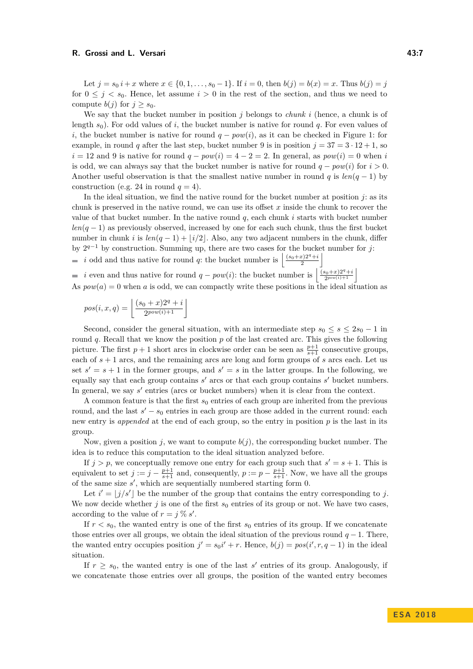Let  $j = s_0 i + x$  where  $x \in \{0, 1, \ldots, s_0 - 1\}$ . If  $i = 0$ , then  $b(j) = b(x) = x$ . Thus  $b(j) = j$ for  $0 \leq j \leq s_0$ . Hence, let assume  $i > 0$  in the rest of the section, and thus we need to compute  $b(j)$  for  $j > s_0$ .

We say that the bucket number in position *j* belongs to *chunk i* (hence, a chunk is of length *s*0). For odd values of *i*, the bucket number is native for round *q*. For even values of *i*, the bucket number is native for round  $q - pow(i)$ , as it can be checked in Figure [1:](#page-4-0) for example, in round *q* after the last step, bucket number 9 is in position  $j = 37 = 3 \cdot 12 + 1$ , so  $i = 12$  and 9 is native for round  $q - pow(i) = 4 - 2 = 2$ . In general, as  $pow(i) = 0$  when *i* is odd, we can always say that the bucket number is native for round  $q - pow(i)$  for  $i > 0$ . Another useful observation is that the smallest native number in round *q* is  $len(q-1)$  by construction (e.g. 24 in round  $q = 4$ ).

In the ideal situation, we find the native round for the bucket number at position  $j$ : as its chunk is preserved in the native round, we can use its offset *x* inside the chunk to recover the value of that bucket number. In the native round *q*, each chunk *i* starts with bucket number *len*( $q$  − 1) as previously observed, increased by one for each such chunk, thus the first bucket number in chunk *i* is  $len(q - 1) + |i/2|$ . Also, any two adjacent numbers in the chunk, differ by 2 *<sup>q</sup>*−<sup>1</sup> by construction. Summing up, there are two cases for the bucket number for *j*:

*i* odd and thus native for round *q*: the bucket number is  $\left| \frac{(s_0+x)2^q+i}{2} \right|$ 

*i* even and thus native for round *q* − *pow*(*i*): the bucket number is  $\frac{(s_0+x)2^q+i}{2^{pow(i)+1}}$  $\frac{2^{9}+x}{2^{pow(i)+1}}$  $\blacksquare$ 

As  $pow(a) = 0$  when *a* is odd, we can compactly write these positions in the ideal situation as

$$
pos(i, x, q) = \left\lfloor \frac{(s_0 + x)2^q + i}{2^{pow(i) + 1}} \right\rfloor
$$

Second, consider the general situation, with an intermediate step  $s_0 \leq s \leq 2s_0 - 1$  in round *q*. Recall that we know the position *p* of the last created arc. This gives the following picture. The first  $p + 1$  short arcs in clockwise order can be seen as  $\frac{p+1}{s+1}$  consecutive groups, each of *s* + 1 arcs, and the remaining arcs are long and form groups of *s* arcs each. Let us set  $s' = s + 1$  in the former groups, and  $s' = s$  in the latter groups. In the following, we equally say that each group contains  $s'$  arcs or that each group contains  $s'$  bucket numbers. In general, we say *s'* entries (arcs or bucket numbers) when it is clear from the context.

A common feature is that the first  $s_0$  entries of each group are inherited from the previous round, and the last  $s' - s_0$  entries in each group are those added in the current round: each new entry is *appended* at the end of each group, so the entry in position *p* is the last in its group.

Now, given a position  $j$ , we want to compute  $b(j)$ , the corresponding bucket number. The idea is to reduce this computation to the ideal situation analyzed before.

If  $j > p$ , we conceptually remove one entry for each group such that  $s' = s + 1$ . This is equivalent to set  $j := j - \frac{p+1}{s+1}$  and, consequently,  $p := p - \frac{p+1}{s+1}$ . Now, we have all the groups of the same size  $s'$ , which are sequentially numbered starting form  $0$ .

Let  $i' = |j/s'|$  be the number of the group that contains the entry corresponding to *j*. We now decide whether  $j$  is one of the first  $s_0$  entries of its group or not. We have two cases, according to the value of  $r = j \, \% \, s'$ .

If  $r < s_0$ , the wanted entry is one of the first  $s_0$  entries of its group. If we concatenate those entries over all groups, we obtain the ideal situation of the previous round  $q - 1$ . There, the wanted entry occupies position  $j' = s_0i' + r$ . Hence,  $b(j) = pos(i', r, q - 1)$  in the ideal situation.

If  $r \geq s_0$ , the wanted entry is one of the last s' entries of its group. Analogously, if we concatenate those entries over all groups, the position of the wanted entry becomes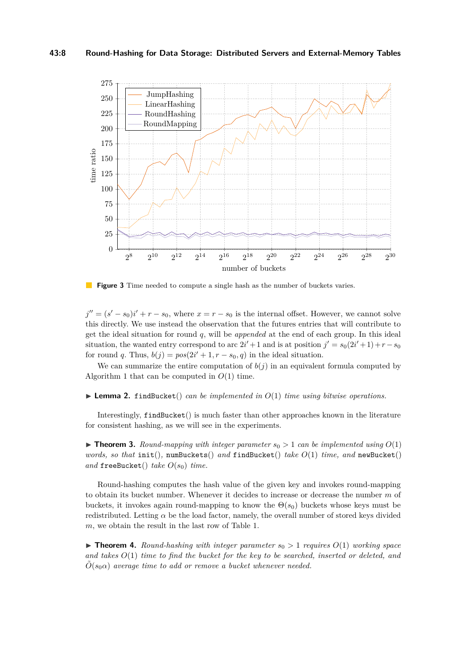### **43:8 Round-Hashing for Data Storage: Distributed Servers and External-Memory Tables**

<span id="page-7-0"></span>

**Figure 3** Time needed to compute a single hash as the number of buckets varies.

 $j'' = (s' - s_0)i' + r - s_0$ , where  $x = r - s_0$  is the internal offset. However, we cannot solve this directly. We use instead the observation that the futures entries that will contribute to get the ideal situation for round *q*, will be *appended* at the end of each group. In this ideal situation, the wanted entry correspond to arc  $2i' + 1$  and is at position  $j' = s_0(2i' + 1) + r - s_0$ for round *q*. Thus,  $b(j) = pos(2i' + 1, r - s_0, q)$  in the ideal situation.

We can summarize the entire computation of  $b(j)$  in an equivalent formula computed by Algorithm [1](#page-5-2) that can be computed in *O*(1) time.

 $\blacktriangleright$  **Lemma 2.** findBucket() *can be implemented in*  $O(1)$  *time using bitwise operations.* 

Interestingly, findBucket() is much faster than other approaches known in the literature for consistent hashing, as we will see in the experiments.

 $\triangleright$  **Theorem 3.** *Round-mapping with integer parameter*  $s_0 > 1$  *can be implemented using*  $O(1)$ *words, so that* init()*,* numBuckets() *and* findBucket() *take O*(1) *time, and* newBucket() *and* freeBucket() *take*  $O(s_0)$  *time.* 

Round-hashing computes the hash value of the given key and invokes round-mapping to obtain its bucket number. Whenever it decides to increase or decrease the number *m* of buckets, it invokes again round-mapping to know the  $\Theta(s_0)$  buckets whose keys must be redistributed. Letting  $\alpha$  be the load factor, namely, the overall number of stored keys divided *m*, we obtain the result in the last row of Table [1.](#page-1-0)

 $\triangleright$  **Theorem 4.** *Round-hashing with integer parameter*  $s_0 > 1$  *requires*  $O(1)$  *working space and takes O*(1) *time to find the bucket for the key to be searched, inserted or deleted, and*  $O(s_0\alpha)$  *average time to add or remove a bucket whenever needed.*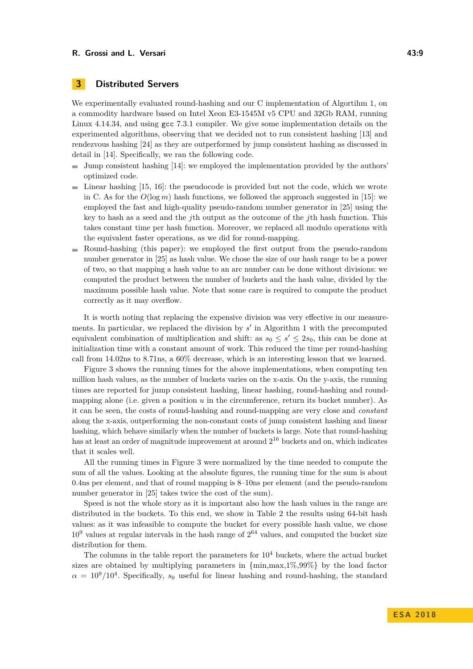### <span id="page-8-0"></span>**3 Distributed Servers**

We experimentally evaluated round-hashing and our C implementation of Algortihm [1,](#page-5-2) on a commodity hardware based on Intel Xeon E3-1545M v5 CPU and 32Gb RAM, running Linux 4.14.34, and using gcc 7.3.1 compiler. We give some implementation details on the experimented algorithms, observing that we decided not to run consistent hashing [\[13\]](#page-12-0) and rendezvous hashing [\[24\]](#page-13-1) as they are outperformed by jump consistent hashing as discussed in detail in [\[14\]](#page-12-1). Specifically, we ran the following code.

- $\equiv$ Jump consistent hashing [\[14\]](#page-12-1): we employed the implementation provided by the authors' optimized code.
- Linear hashing [\[15,](#page-12-2) [16\]](#page-12-3): the pseudocode is provided but not the code, which we wrote  $\mathcal{L}_{\mathcal{A}}$ in C. As for the  $O(\log m)$  hash functions, we followed the approach suggested in [\[15\]](#page-12-2): we employed the fast and high-quality pseudo-random number generator in [\[25\]](#page-13-9) using the key to hash as a seed and the *j*th output as the outcome of the *j*th hash function. This takes constant time per hash function. Moreover, we replaced all modulo operations with the equivalent faster operations, as we did for round-mapping.
- Round-hashing (this paper): we employed the first output from the pseudo-random number generator in [\[25\]](#page-13-9) as hash value. We chose the size of our hash range to be a power of two, so that mapping a hash value to an arc number can be done without divisions: we computed the product between the number of buckets and the hash value, divided by the maximum possible hash value. Note that some care is required to compute the product correctly as it may overflow.

It is worth noting that replacing the expensive division was very effective in our measurements. In particular, we replaced the division by  $s'$  in Algorithm [1](#page-5-2) with the precomputed equivalent combination of multiplication and shift: as  $s_0 \leq s' \leq 2s_0$ , this can be done at initialization time with a constant amount of work. This reduced the time per round-hashing call from 14*.*02ns to 8*.*71ns, a 60% decrease, which is an interesting lesson that we learned.

Figure [3](#page-7-0) shows the running times for the above implementations, when computing ten million hash values, as the number of buckets varies on the x-axis. On the y-axis, the running times are reported for jump consistent hashing, linear hashing, round-hashing and roundmapping alone (i.e. given a position *u* in the circumference, return its bucket number). As it can be seen, the costs of round-hashing and round-mapping are very close and *constant* along the x-axis, outperforming the non-constant costs of jump consistent hashing and linear hashing, which behave similarly when the number of buckets is large. Note that round-hashing has at least an order of magnitude improvement at around  $2^{16}$  buckets and on, which indicates that it scales well.

All the running times in Figure [3](#page-7-0) were normalized by the time needed to compute the sum of all the values. Looking at the absolute figures, the running time for the sum is about 0*.*4ns per element, and that of round mapping is 8–10ns per element (and the pseudo-random number generator in [\[25\]](#page-13-9) takes twice the cost of the sum).

Speed is not the whole story as it is important also how the hash values in the range are distributed in the buckets. To this end, we show in Table [2](#page-9-1) the results using 64-bit hash values: as it was infeasible to compute the bucket for every possible hash value, we chose  $10<sup>9</sup>$  values at regular intervals in the hash range of  $2<sup>64</sup>$  values, and computed the bucket size distribution for them.

The columns in the table report the parameters for  $10<sup>4</sup>$  buckets, where the actual bucket sizes are obtained by multiplying parameters in  $\{\min,\max,1\%,99\%\}\$  by the load factor  $\alpha = 10^9/10^4$ . Specifically,  $s_0$  useful for linear hashing and round-hashing, the standard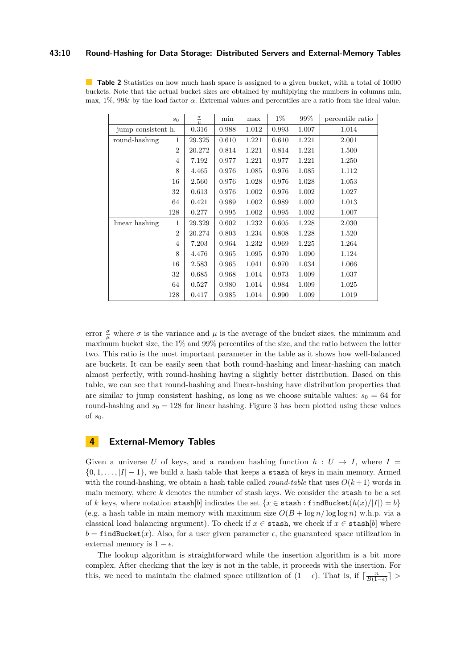### **43:10 Round-Hashing for Data Storage: Distributed Servers and External-Memory Tables**

<span id="page-9-1"></span>**Table 2** Statistics on how much hash space is assigned to a given bucket, with a total of 10000 buckets. Note that the actual bucket sizes are obtained by multiplying the numbers in columns min, max, 1%, 99& by the load factor *α*. Extremal values and percentiles are a ratio from the ideal value.

|                    | $s_0$          | $\overline{\mathcal{C}}$<br>$\mu$ | min   | max   | $1\%$ | 99%   | percentile ratio |
|--------------------|----------------|-----------------------------------|-------|-------|-------|-------|------------------|
| jump consistent h. |                | 0.316                             | 0.988 | 1.012 | 0.993 | 1.007 | 1.014            |
| round-hashing      | 1              | 29.325                            | 0.610 | 1.221 | 0.610 | 1.221 | 2.001            |
|                    | $\overline{2}$ |                                   | 0.814 | 1.221 | 0.814 | 1.221 | 1.500            |
|                    | 4              | 7.192                             | 0.977 | 1.221 | 0.977 | 1.221 | 1.250            |
|                    | 8              | 4.465                             | 0.976 | 1.085 | 0.976 | 1.085 | 1.112            |
| 16                 |                | 2.560                             | 0.976 | 1.028 | 0.976 | 1.028 | 1.053            |
|                    | 32             | 0.613                             | 0.976 | 1.002 | 0.976 | 1.002 | 1.027            |
|                    | 64             | 0.421                             | 0.989 | 1.002 | 0.989 | 1.002 | 1.013            |
|                    | 128            | 0.277                             | 0.995 | 1.002 | 0.995 | 1.002 | 1.007            |
| linear hashing     | 1              | 29.329                            | 0.602 | 1.232 | 0.605 | 1.228 | 2.030            |
|                    | $\overline{2}$ | 20.274                            | 0.803 | 1.234 | 0.808 | 1.228 | 1.520            |
|                    | $\overline{4}$ | 7.203                             | 0.964 | 1.232 | 0.969 | 1.225 | 1.264            |
|                    | 8              | 4.476                             | 0.965 | 1.095 | 0.970 | 1.090 | 1.124            |
|                    | 16             | 2.583                             | 0.965 | 1.041 | 0.970 | 1.034 | 1.066            |
|                    | 32             | 0.685                             | 0.968 | 1.014 | 0.973 | 1.009 | 1.037            |
|                    | 64             | 0.527                             | 0.980 | 1.014 | 0.984 | 1.009 | 1.025            |
|                    | 128            | 0.417                             | 0.985 | 1.014 | 0.990 | 1.009 | 1.019            |

error  $\frac{\sigma}{\mu}$  where  $\sigma$  is the variance and  $\mu$  is the average of the bucket sizes, the minimum and maximum bucket size, the 1% and 99% percentiles of the size, and the ratio between the latter two. This ratio is the most important parameter in the table as it shows how well-balanced are buckets. It can be easily seen that both round-hashing and linear-hashing can match almost perfectly, with round-hashing having a slightly better distribution. Based on this table, we can see that round-hashing and linear-hashing have distribution properties that are similar to jump consistent hashing, as long as we choose suitable values:  $s_0 = 64$  for round-hashing and  $s_0 = 128$  for linear hashing. Figure [3](#page-7-0) has been plotted using these values of *s*0.

### <span id="page-9-0"></span>**4 External-Memory Tables**

Given a universe U of keys, and a random hashing function  $h: U \rightarrow I$ , where I  $\{0, 1, \ldots, |I| - 1\}$ , we build a hash table that keeps a stash of keys in main memory. Armed with the round-hashing, we obtain a hash table called *round-table* that uses  $O(k+1)$  words in main memory, where *k* denotes the number of stash keys. We consider the stash to be a set of *k* keys, where notation stash[*b*] indicates the set { $x \in$  stash : findBucket( $h(x)/|I|$ ) = *b*} (e.g. a hash table in main memory with maximum size  $O(B + \log n / \log \log n)$  w.h.p. via a classical load balancing argument). To check if  $x \in \text{stash}$ , we check if  $x \in \text{stash}[b]$  where  $b = \text{findBucket}(x)$ . Also, for a user given parameter  $\epsilon$ , the guaranteed space utilization in external memory is  $1 - \epsilon$ .

The lookup algorithm is straightforward while the insertion algorithm is a bit more complex. After checking that the key is not in the table, it proceeds with the insertion. For this, we need to maintain the claimed space utilization of  $(1 - \epsilon)$ . That is, if  $\lceil \frac{n}{B(1-\epsilon)} \rceil$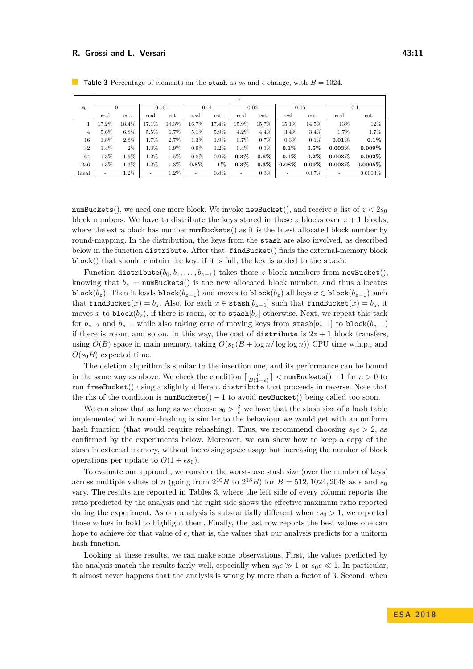|                | E                        |       |         |       |         |         |         |         |          |          |           |            |
|----------------|--------------------------|-------|---------|-------|---------|---------|---------|---------|----------|----------|-----------|------------|
| s <sub>0</sub> | 0                        |       | 0.001   |       | 0.01    |         | 0.03    |         | 0.05     |          | 0.1       |            |
|                | real                     | est.  | real    | est.  | real    | est.    | real    | est.    | real     | est.     | real      | est.       |
|                | 17.2%                    | 18.4% | 17.1%   | 18.3% | 16.7%   | 17.4%   | 15.9%   | 15.7%   | 15.1%    | 14.5%    | 13%       | 12%        |
| 4              | 5.6%                     | 6.8%  | 5.5%    | 6.7%  | 5.1%    | 5.9%    | 4.2%    | $4.4\%$ | $3.4\%$  | $3.4\%$  | 1.7%      | $1.7\%$    |
| 16             | $1.8\%$                  | 2.8%  | 1.7%    | 2.7%  | 1.3%    | $1.9\%$ | $0.7\%$ | $0.7\%$ | 0.3%     | $0.1\%$  | $0.01\%$  | $0.1\%$    |
| 32             | $1.4\%$                  | $2\%$ | 1.3%    | 1.9%  | $0.9\%$ | 1.2%    | $0.4\%$ | $0.3\%$ | $0.1\%$  | $0.5\%$  | $0.003\%$ | $0.009\%$  |
| 64             | 1.3%                     | 1.6%  | $1.2\%$ | 1.5%  | $0.8\%$ | $0.9\%$ | $0.3\%$ | $0.6\%$ | $0.1\%$  | $0.2\%$  | $0.003\%$ | $0.002\%$  |
| 256            | 1.3%                     | 1.3%  | 1.2%    | 1.3%  | $0.8\%$ | $1\%$   | $0.3\%$ | $0.3\%$ | $0.08\%$ | $0.09\%$ | $0.003\%$ | $0.0005\%$ |
| ideal          | $\overline{\phantom{a}}$ | 1.2%  | ٠       | 1.2%  | ٠       | $0.8\%$ | ۰       | $0.3\%$ | ٠        | 0.07%    |           | $0.0003\%$ |

<span id="page-10-0"></span>**Table 3** Percentage of elements on the stash as  $s_0$  and  $\epsilon$  change, with  $B = 1024$ .

numBuckets(), we need one more block. We invoke newBucket(), and receive a list of  $z < 2s_0$ block numbers. We have to distribute the keys stored in these  $z$  blocks over  $z + 1$  blocks. where the extra block has number numBuckets() as it is the latest allocated block number by round-mapping. In the distribution, the keys from the stash are also involved, as described below in the function distribute. After that, findBucket() finds the external-memory block block() that should contain the key: if it is full, the key is added to the stash.

Function distribute( $b_0, b_1, \ldots, b_{z-1}$ ) takes these *z* block numbers from newBucket(), knowing that  $b_z$  = numBuckets() is the new allocated block number, and thus allocates block( $b_z$ ). Then it loads block( $b_{z-1}$ ) and moves to block( $b_z$ ) all keys  $x \in \text{block}(b_{z-1})$  such that findBucket( $x$ ) =  $b_z$ . Also, for each  $x \in \text{stash}[b_{z-1}]$  such that findBucket( $x$ ) =  $b_z$ , it moves x to block $(b_z)$ , if there is room, or to stash $[b_z]$  otherwise. Next, we repeat this task for  $b_{z-2}$  and  $b_{z-1}$  while also taking care of moving keys from stash $[b_{z-1}]$  to block $(b_{z-1})$ if there is room, and so on. In this way, the cost of distribute is  $2z + 1$  block transfers, using  $O(B)$  space in main memory, taking  $O(s_0(B + \log n/\log \log n))$  CPU time w.h.p., and  $O(s_0B)$  expected time.

The deletion algorithm is similar to the insertion one, and its performance can be bound in the same way as above. We check the condition  $\lceil \frac{n}{B(1-\epsilon)} \rceil < \texttt{numBuckets}() - 1$  for  $n > 0$  to run freeBucket() using a slightly different distribute that proceeds in reverse. Note that the rhs of the condition is numBuckets()  $-1$  to avoid newBucket() being called too soon.

We can show that as long as we choose  $s_0 > \frac{2}{\epsilon}$  we have that the stash size of a hash table implemented with round-hashing is similar to the behaviour we would get with an uniform hash function (that would require rehashing). Thus, we recommend choosing  $s_0 \in \Sigma$  2, as confirmed by the experiments below. Moreover, we can show how to keep a copy of the stash in external memory, without increasing space usage but increasing the number of block operations per update to  $O(1 + \epsilon s_0)$ .

To evaluate our approach, we consider the worst-case stash size (over the number of keys) across multiple values of *n* (going from  $2^{10}B$  to  $2^{13}B$ ) for  $B = 512, 1024, 2048$  as  $\epsilon$  and  $s_0$ vary. The results are reported in Tables [3,](#page-10-0) where the left side of every column reports the ratio predicted by the analysis and the right side shows the effective maximum ratio reported during the experiment. As our analysis is substantially different when  $\epsilon s_0 > 1$ , we reported those values in bold to highlight them. Finally, the last row reports the best values one can hope to achieve for that value of  $\epsilon$ , that is, the values that our analysis predicts for a uniform hash function.

Looking at these results, we can make some observations. First, the values predicted by the analysis match the results fairly well, especially when  $s_0 \in \mathcal{S}$  1 or  $s_0 \in \mathcal{K}$  1. In particular, it almost never happens that the analysis is wrong by more than a factor of 3. Second, when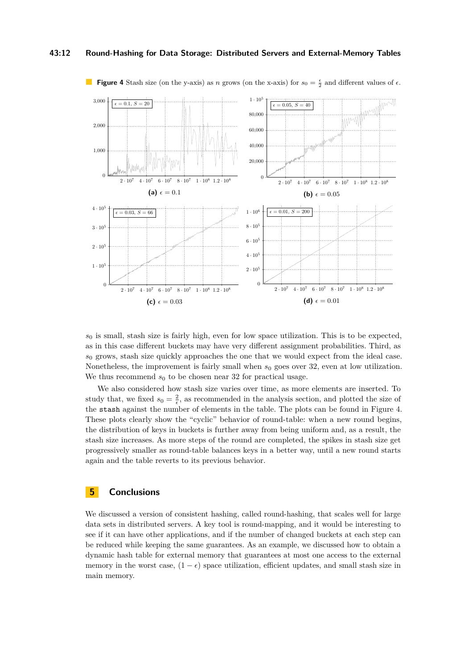#### **43:12 Round-Hashing for Data Storage: Distributed Servers and External-Memory Tables**



<span id="page-11-0"></span>**Figure 4** Stash size (on the y-axis) as *n* grows (on the x-axis) for  $s_0 = \frac{\epsilon}{2}$  and different values of  $\epsilon$ .

 $s<sub>0</sub>$  is small, stash size is fairly high, even for low space utilization. This is to be expected, as in this case different buckets may have very different assignment probabilities. Third, as *s*<sup>0</sup> grows, stash size quickly approaches the one that we would expect from the ideal case. Nonetheless, the improvement is fairly small when  $s_0$  goes over 32, even at low utilization. We thus recommend  $s_0$  to be chosen near 32 for practical usage.

We also considered how stash size varies over time, as more elements are inserted. To study that, we fixed  $s_0 = \frac{2}{\epsilon}$ , as recommended in the analysis section, and plotted the size of the stash against the number of elements in the table. The plots can be found in Figure [4.](#page-11-0) These plots clearly show the "cyclic" behavior of round-table: when a new round begins, the distribution of keys in buckets is further away from being uniform and, as a result, the stash size increases. As more steps of the round are completed, the spikes in stash size get progressively smaller as round-table balances keys in a better way, until a new round starts again and the table reverts to its previous behavior.

### **5 Conclusions**

We discussed a version of consistent hashing, called round-hashing, that scales well for large data sets in distributed servers. A key tool is round-mapping, and it would be interesting to see if it can have other applications, and if the number of changed buckets at each step can be reduced while keeping the same guarantees. As an example, we discussed how to obtain a dynamic hash table for external memory that guarantees at most one access to the external memory in the worst case,  $(1 - \epsilon)$  space utilization, efficient updates, and small stash size in main memory.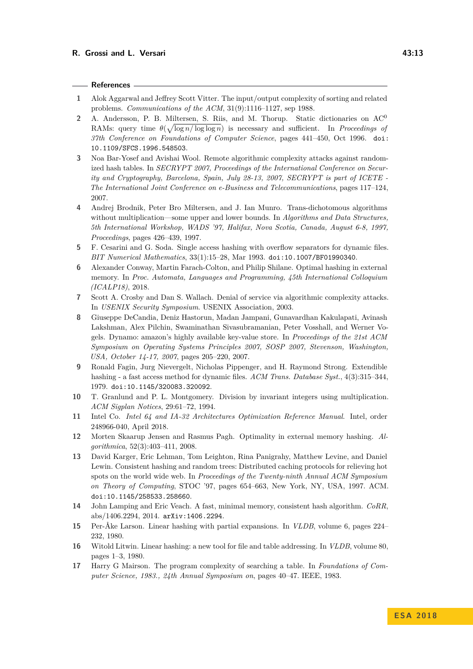#### **References**

- <span id="page-12-11"></span>**1** Alok Aggarwal and Jeffrey Scott Vitter. The input/output complexity of sorting and related problems. *Communications of the ACM*, 31(9):1116–1127, sep 1988.
- <span id="page-12-8"></span>**2** A. Andersson, P. B. Miltersen, S. Riis, and M. Thorup. Static dictionaries on AC<sup>0</sup> RAMs: query time  $\theta(\sqrt{\log n/\log \log n})$  is necessary and sufficient. In *Proceedings of 37th Conference on Foundations of Computer Science*, pages 441–450, Oct 1996. [doi:](http://dx.doi.org/10.1109/SFCS.1996.548503) [10.1109/SFCS.1996.548503](http://dx.doi.org/10.1109/SFCS.1996.548503).
- <span id="page-12-5"></span>**3** Noa Bar-Yosef and Avishai Wool. Remote algorithmic complexity attacks against randomized hash tables. In *SECRYPT 2007, Proceedings of the International Conference on Security and Cryptography, Barcelona, Spain, July 28-13, 2007, SECRYPT is part of ICETE - The International Joint Conference on e-Business and Telecommunications*, pages 117–124, 2007.
- <span id="page-12-9"></span>**4** Andrej Brodnik, Peter Bro Miltersen, and J. Ian Munro. Trans-dichotomous algorithms without multiplication—some upper and lower bounds. In *Algorithms and Data Structures, 5th International Workshop, WADS '97, Halifax, Nova Scotia, Canada, August 6-8, 1997, Proceedings*, pages 426–439, 1997.
- <span id="page-12-16"></span>**5** F. Cesarini and G. Soda. Single access hashing with overflow separators for dynamic files. *BIT Numerical Mathematics*, 33(1):15–28, Mar 1993. [doi:10.1007/BF01990340](http://dx.doi.org/10.1007/BF01990340).
- <span id="page-12-13"></span>**6** Alexander Conway, Martin Farach-Colton, and Philip Shilane. Optimal hashing in external memory. In *Proc. Automata, Languages and Programming, 45th International Colloquium (ICALP18)*, 2018.
- <span id="page-12-6"></span>**7** Scott A. Crosby and Dan S. Wallach. Denial of service via algorithmic complexity attacks. In *USENIX Security Symposium*. USENIX Association, 2003.
- <span id="page-12-4"></span>**8** Giuseppe DeCandia, Deniz Hastorun, Madan Jampani, Gunavardhan Kakulapati, Avinash Lakshman, Alex Pilchin, Swaminathan Sivasubramanian, Peter Vosshall, and Werner Vogels. Dynamo: amazon's highly available key-value store. In *Proceedings of the 21st ACM Symposium on Operating Systems Principles 2007, SOSP 2007, Stevenson, Washington, USA, October 14-17, 2007*, pages 205–220, 2007.
- <span id="page-12-15"></span>**9** Ronald Fagin, Jurg Nievergelt, Nicholas Pippenger, and H. Raymond Strong. Extendible hashing - a fast access method for dynamic files. *ACM Trans. Database Syst.*, 4(3):315–344, 1979. [doi:10.1145/320083.320092](http://dx.doi.org/10.1145/320083.320092).
- <span id="page-12-10"></span>**10** T. Granlund and P. L. Montgomery. Division by invariant integers using multiplication. *ACM Sigplan Notices*, 29:61–72, 1994.
- <span id="page-12-7"></span>**11** Intel Co. *Intel 64 and IA-32 Architectures Optimization Reference Manual*. Intel, order 248966-040, April 2018.
- <span id="page-12-12"></span>**12** Morten Skaarup Jensen and Rasmus Pagh. Optimality in external memory hashing. *Algorithmica*, 52(3):403–411, 2008.
- <span id="page-12-0"></span>**13** David Karger, Eric Lehman, Tom Leighton, Rina Panigrahy, Matthew Levine, and Daniel Lewin. Consistent hashing and random trees: Distributed caching protocols for relieving hot spots on the world wide web. In *Proceedings of the Twenty-ninth Annual ACM Symposium on Theory of Computing*, STOC '97, pages 654–663, New York, NY, USA, 1997. ACM. [doi:10.1145/258533.258660](http://dx.doi.org/10.1145/258533.258660).
- <span id="page-12-1"></span>**14** John Lamping and Eric Veach. A fast, minimal memory, consistent hash algorithm. *CoRR*, abs/1406.2294, 2014. [arXiv:1406.2294](http://arxiv.org/abs/1406.2294).
- <span id="page-12-2"></span>**15** Per-Åke Larson. Linear hashing with partial expansions. In *VLDB*, volume 6, pages 224– 232, 1980.
- <span id="page-12-3"></span>**16** Witold Litwin. Linear hashing: a new tool for file and table addressing. In *VLDB*, volume 80, pages 1–3, 1980.
- <span id="page-12-14"></span>**17** Harry G Mairson. The program complexity of searching a table. In *Foundations of Computer Science, 1983., 24th Annual Symposium on*, pages 40–47. IEEE, 1983.